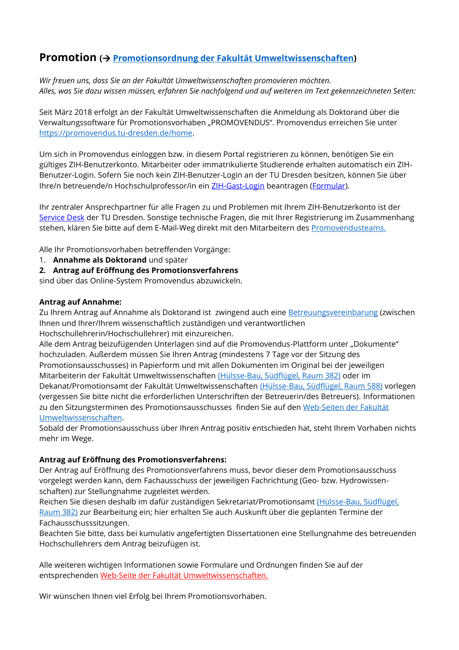# **Promotion ( [Promotionsordnung der Fakultät Umweltwissenschaften\)](file:///X:/_Daten/PROM-HABIL/Ordnungen_Gesetze_Richtlinien/Prom.ordnung%202014.pdf)**

*Wir freuen uns, dass Sie an der Fakultät Umweltwissenschaften promovieren möchten. Alles, was Sie dazu wissen müssen, erfahren Sie nachfolgend und auf weiteren im Text gekennzeichneten Seiten:*

Seit März 2018 erfolgt an der Fakultät Umweltwissenschaften die Anmeldung als Doktorand über die Verwaltungssoftware für Promotionsvorhaben "PROMOVENDUS". Promovendus erreichen Sie unter [https://promovendus.tu-dresden.de/home.](https://promovendus.tu-dresden.de/home)

Um sich in Promovendus einloggen bzw. in diesem Portal registrieren zu können, benötigen Sie ein gültiges ZIH-Benutzerkonto. Mitarbeiter oder immatrikulierte Studierende erhalten automatisch ein ZIH-Benutzer-Login. Sofern Sie noch kein ZIH-Benutzer-Login an der TU Dresden besitzen, können Sie über Ihre/n betreuende/n Hochschulprofessor/in ein [ZIH-Gast-Login](https://tu-dresden.de/zih/dienste/service-katalog/zugangsvoraussetzung) beantragen [\(Formular\)](https://selfservice.zih.tu-dresden.de/index.php/login).

Ihr zentraler Ansprechpartner für alle Fragen zu und Problemen mit Ihrem ZIH-Benutzerkonto ist der [Service Desk](https://tu-dresden.de/zih/dienste/service-desk/service-desk) der TU Dresden. Sonstige technische Fragen, die mit Ihrer Registrierung im Zusammenhang stehen, klären Sie bitte auf dem E-Mail-Weg direkt mit den Mitarbeitern des [Promovendusteams.](mailto:admin-promovendus-@mailbox.tu-dresden.de)

Alle Ihr Promotionsvorhaben betreffenden Vorgänge:

- 1. **Annahme als Doktorand** und später
- **2. Antrag auf Eröffnung des Promotionsverfahrens**

sind über das Online-System Promovendus abzuwickeln.

### **Antrag auf Annahme:**

Zu Ihrem Antrag auf Annahme als Doktorand ist zwingend auch eine [Betreuungsvereinbarung](https://tu-dresden.de/bu/umwelt/ressourcen/dateien/promotion/betr-vereinb-uw_aplan18-04.pdf) (zwischen Ihnen und Ihrer/Ihrem wissenschaftlich zuständigen und verantwortlichen Hochschullehrerin/Hochschullehrer) mit einzureichen.

Alle dem Antrag beizufügenden Unterlagen sind auf die Promovendus-Plattform unter "Dokumente" hochzuladen. Außerdem müssen Sie Ihren Antrag (mindestens 7 Tage vor der Sitzung des Promotionsausschusses) in Papierform und mit allen Dokumenten im Original bei der jeweiligen Mitarbeiterin der Fakultät Umweltwissenschaften [\(Hülsse-Bau, Südflügel, Raum 382\)](https://navigator.tu-dresden.de/etplan/hül/03/raum/145403.0420) oder im Dekanat/Promotionsamt der Fakultät Umweltwissenschaften [\(Hülsse-Bau, Südflügel, Raum 588\)](https://navigator.tu-dresden.de/etplan/h%C3%BCl/05) vorlegen (vergessen Sie bitte nicht die erforderlichen Unterschriften der Betreuerin/des Betreuers). Informationen zu den Sitzungsterminen des Promotionsausschusses finden Sie auf den Web-Seiten der Fakultät [Umweltwissenschaften.](https://tu-dresden.de/bu/umwelt/die-fakultaet/termine)

Sobald der Promotionsausschuss über Ihren Antrag positiv entschieden hat, steht Ihrem Vorhaben nichts mehr im Wege.

### **Antrag auf Eröffnung des Promotionsverfahrens:**

Der Antrag auf Eröffnung des Promotionsverfahrens muss, bevor dieser dem Promotionsausschuss vorgelegt werden kann, dem Fachausschuss der jeweiligen Fachrichtung (Geo- bzw. Hydrowissenschaften) zur Stellungnahme zugeleitet werden.

Reichen Sie diesen deshalb im dafür zuständigen Sekretariat/Promotionsamt [\(Hülsse-Bau, Südflügel,](https://navigator.tu-dresden.de/etplan/h%C3%BCl/03/raum/145403.0420)  [Raum 382\)](https://navigator.tu-dresden.de/etplan/h%C3%BCl/03/raum/145403.0420) zur Bearbeitung ein; hier erhalten Sie auch Auskunft über die geplanten Termine der Fachausschusssitzungen.

Beachten Sie bitte, dass bei kumulativ angefertigten Dissertationen eine Stellungnahme des betreuenden Hochschullehrers dem Antrag beizufügen ist.

Alle weiteren wichtigen Informationen sowie Formulare und Ordnungen finden Sie auf der entsprechenden [Web-Seite der Fakultät Umweltwissenschaften.](https://tu-dresden.de/bu/umwelt/postgraduales/promotion)

Wir wünschen Ihnen viel Erfolg bei Ihrem Promotionsvorhaben.